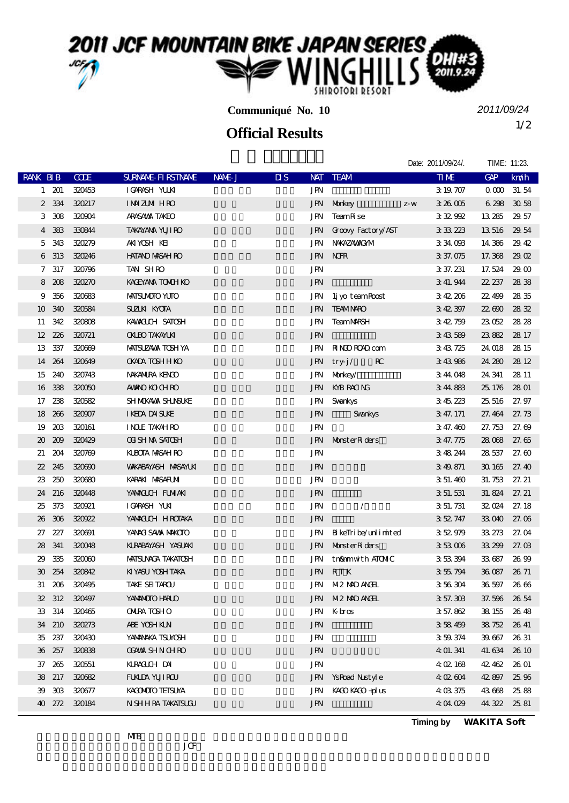## 2011 JCF MOUNTAIN BIKE JAPAN SERIES **IROTORI RESORT**

**Communiqué No. 10**

1/2 **Official Results**

*2011/09/24*

|                 |               |             |                            |        |                         |                                    |                         |                | Date: 2011/09/24/. | TIME: 11:23. |       |
|-----------------|---------------|-------------|----------------------------|--------|-------------------------|------------------------------------|-------------------------|----------------|--------------------|--------------|-------|
| <b>RANK BIB</b> |               | <b>CODE</b> | <b>SURVANE FI RSTIVANE</b> | NAME J | $\overline{\mathbf{u}}$ |                                    | NAT TEAM                |                | <b>TIME</b>        | GAP          | km/h  |
|                 | $1 \quad 201$ | 320453      | IGRASH YUKI                |        |                         | <b>JPN</b>                         |                         |                | 3 19 707           | 0 000 31.54  |       |
| $\mathbf{2}$    | 334           | 320217      | <b>IMZM HRO</b>            |        |                         |                                    | JPN Morkey              | $\mathbf{Z}$ W | 326005             | 6298         | 3058  |
| 3               | 308           | 320904      | <b>ARASAMA TAKEO</b>       |        |                         | JPN                                | TeamRise                |                | 332992             | 13 285 29 57 |       |
| 4               | 383           | 330844      | <b>TAKAYANA YUJI RO</b>    |        |                         | JPN                                | Groovy Factory/AST      |                | 333223             | 13 516 29 54 |       |
| 5               | 343           | 320279      | AKIYOSH KEI                |        |                         | JPN                                | NWAZAWAXAM              |                | 334003             | 14 386 2942  |       |
| 6               | 313           | 320246      | <b>HATANO MASAH RO</b>     |        |                         |                                    | <b>JPN NOR</b>          |                | 3 37.075           | 17.368 29.02 |       |
| 7               | 317           | 320796      | TAN SHRO                   |        |                         | <b>JPN</b>                         |                         |                | 3 37.231           | 17.524       | 29.00 |
| 8               | 208           | 320270      | KACEYANA TONOH KO          |        |                         | <b>JPN</b>                         |                         |                | 3 41.944           | 22.237       | 2838  |
| 9               | 356           | 320683      | MAISUMOIO YUIO             |        |                         | JPN                                | lj yo team Roost        |                | 342206             | 22.499       | 2835  |
| 10              | 340           | 320584      | SUZUKI KYOTA               |        |                         | <b>JPN</b>                         | <b>TEAMINRO</b>         |                | 342397             | 22.690 28.32 |       |
| 11              | 342           | 320808      | KAMACLOH SATOSH            |        |                         | JPN                                | <b>TeamMRSH</b>         |                | 342759             | 23052        | 28.28 |
| 12 <sup>2</sup> | 226           | 320721      | <b>OKLEO TAKAYLKI</b>      |        |                         | <b>JPN</b>                         |                         |                | 343589             | 23882        | 28.17 |
| 13              | 337           | 320669      | <b>MAISUZAVA TOSH YA</b>   |        |                         | JPN                                | <b>RINO ROAD com</b>    |                | 343725             | 24 018 28 15 |       |
| 14              | 264           | 320649      | <b>OKADA TOSHHKO</b>       |        |                         | JPN                                | $_{\rm RC}$<br>$try-j/$ |                | 343986             | 24.280       | 28 12 |
| 15              | 240           | 320743      | NAKANIRA KENGO             |        |                         |                                    | JPN Monkey/             |                | 344048             | 24 341       | 28 11 |
| 16              | 338           | 320050      | <b>AMANO KO CH RO</b>      |        |                         | JPN                                | KYB RACING              |                | 344883             | 25, 176      | 2801  |
|                 | 17 238        | 320582      | SH MOKAWA SHUNSUKE         |        |                         | JPN                                | Svankys                 |                | 345223             | 25 516       | 27.97 |
|                 | 18 26 6       | 320907      | <b>IKEDA DAISUKE</b>       |        |                         | <b>JPN</b>                         | Svankys                 |                | 3 47.171           | 27.464 27.73 |       |
| 19              | 203           | 320161      | <b>INDE TAKAH RO</b>       |        |                         | <b>JPN</b>                         |                         |                | 3 47.460           | 27.753       | 27.69 |
| $20^{\circ}$    | 209           | 320429      | <b>OI SHMA SATOSH</b>      |        |                         |                                    | JPN MonsterRiders       |                | 3 47.775           | 28 068 27.65 |       |
| 21              | 204           | 320769      | KUBOTA MASAH RO            |        |                         | JPN                                |                         |                | 348244             | 28 537       | 27.60 |
| $22\,$          | 245           | 320690      | <b>WAKABAYASH MASAYUKI</b> |        |                         | <b>JPN</b>                         |                         |                | 3 49 871           | 30165        | 27.40 |
| 23              | 250           | 320680      | KARAKI MASAFUMI            |        |                         | <b>JPN</b>                         |                         |                | 3 51.460           | 31.753 27.21 |       |
| 24              | 216           | 320448      | YAMACLOH FUMIAKI           |        |                         | $\mathbf{J}\mathbf{P}\!\mathbf{N}$ |                         |                | 3 51 531           | 31.824 27.21 |       |
| 25              | 373           | 320021      | IGARASH YUKI               |        |                         | JPN                                | $\sqrt{2}$              |                | 3 51 731           | 32 024 27.18 |       |
| 26              | 306           | 320922      | YAMACCH HROTAKA            |        |                         | <b>JPN</b>                         |                         |                | 352747             | 33 040 27.06 |       |
| 27              | 227           | 320691      | YANACI SAWA MAKOTO         |        |                         | JPN                                | BikeTribe/unlimited     |                | 352979             | 33.273       | 27.04 |
| 28              | 341           | 320048      | KLRABAYASH YASUAKI         |        |                         |                                    | JPN MonsterRiders       |                | 353006             | 33 299 27.03 |       |
| 29              | 335           | 320060      | <b>MAISUMAA TAKATOSH</b>   |        |                         |                                    | JPN tn&mmwith ATOMIC    |                | 353394             | 33 687       | 26.99 |
|                 | 30 254        | 320842      | KIYASU YOSH TAKA           |        |                         |                                    | JPN RTK                 |                | 355794             | 36 087 26 71 |       |
| 31              |               | 206 320495  | TAKE SEITAROU              |        |                         |                                    | JPN M2 MD ANHL          |                | 356304             | 36 597       | 2666  |
|                 | 32 312        | 320497      | YANANOIO HARLO             |        |                         |                                    | JPN M2 MD ANDL          |                | 3 57.303           | 37.596 26.54 |       |
|                 | 33 314        | 320465      | <b>ONIRA TOSHO</b>         |        |                         |                                    | JPN Kbros               |                | 3 57.862           | 38 155 26 48 |       |
|                 | 34 210        | 320273      | ABE YOSH KIN               |        |                         | <b>JPN</b>                         |                         |                | 358459             | 38.752       | 26 41 |
|                 | 35 237        | 320430      | YANANAKA TSUNOSH           |        |                         | JPN                                |                         |                | 3 59 374           | 39.667       | 26 31 |
|                 | 36 257        | 320838      | <b>CGAWA SHN CHRO</b>      |        |                         | JPN                                |                         |                | 4 01.341           | 41.634       | 26 10 |
|                 | 37 265        | 320551      | KLRACILIH DAI              |        |                         | JPN                                |                         |                | 4 02 168           | 42.462       | 26 01 |
|                 | 38 217        | 320682      | <b>FUALDA YUJI ROU</b>     |        |                         |                                    | JPN YsRoad Nustyle      |                | 402604             | 42897        | 25.96 |
| 39              | 303           | 320677      | KACOMOTO TEISUYA           |        |                         | JPN                                | KACO KACO +plus         |                | 4 03 375           | 43668        | 2588  |
|                 | 40 272        | 320184      | N SHHRA TAKATSUGU          |        |                         | <b>JPN</b>                         |                         |                | 4 04 029           | 44 322 25 81 |       |

**Timing by** *WAKITA Soft*